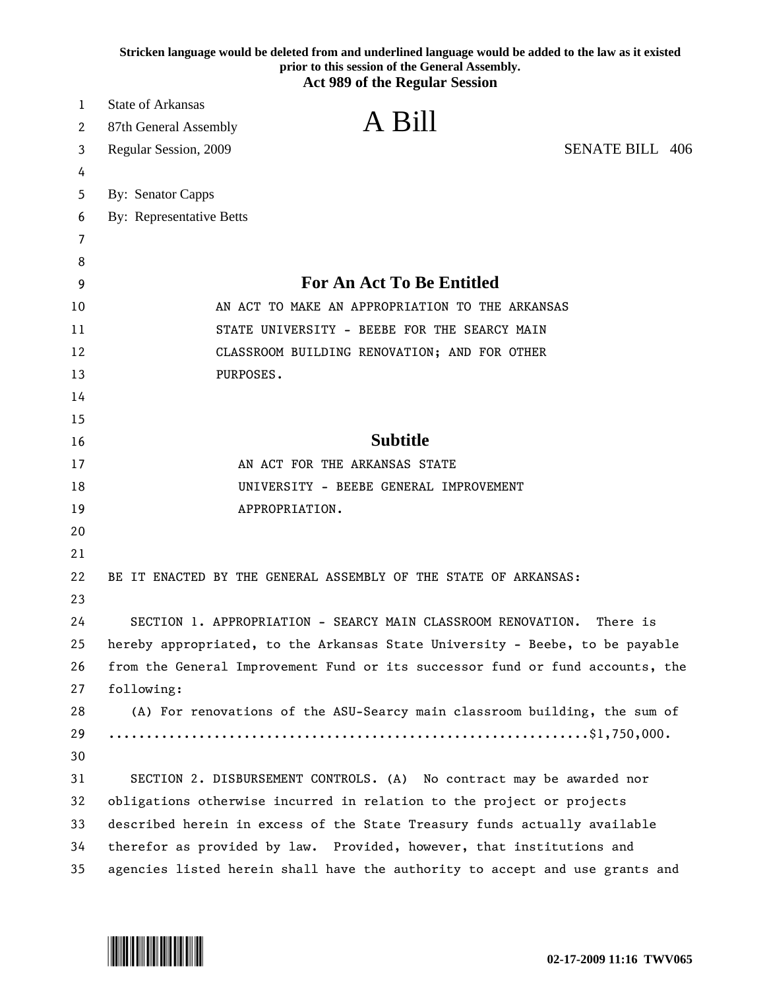|    | Stricken language would be deleted from and underlined language would be added to the law as it existed<br>prior to this session of the General Assembly.<br><b>Act 989 of the Regular Session</b> |
|----|----------------------------------------------------------------------------------------------------------------------------------------------------------------------------------------------------|
| 1  | <b>State of Arkansas</b>                                                                                                                                                                           |
| 2  | A Bill<br>87th General Assembly                                                                                                                                                                    |
| 3  | <b>SENATE BILL 406</b><br>Regular Session, 2009                                                                                                                                                    |
| 4  |                                                                                                                                                                                                    |
| 5  | By: Senator Capps                                                                                                                                                                                  |
| 6  | By: Representative Betts                                                                                                                                                                           |
| 7  |                                                                                                                                                                                                    |
| 8  |                                                                                                                                                                                                    |
| 9  | <b>For An Act To Be Entitled</b>                                                                                                                                                                   |
| 10 | AN ACT TO MAKE AN APPROPRIATION TO THE ARKANSAS                                                                                                                                                    |
| 11 | STATE UNIVERSITY - BEEBE FOR THE SEARCY MAIN                                                                                                                                                       |
| 12 | CLASSROOM BUILDING RENOVATION; AND FOR OTHER                                                                                                                                                       |
| 13 | PURPOSES.                                                                                                                                                                                          |
| 14 |                                                                                                                                                                                                    |
| 15 |                                                                                                                                                                                                    |
| 16 | <b>Subtitle</b>                                                                                                                                                                                    |
| 17 | AN ACT FOR THE ARKANSAS STATE                                                                                                                                                                      |
| 18 | UNIVERSITY - BEEBE GENERAL IMPROVEMENT                                                                                                                                                             |
| 19 | APPROPRIATION.                                                                                                                                                                                     |
| 20 |                                                                                                                                                                                                    |
| 21 |                                                                                                                                                                                                    |
| 22 | BE IT ENACTED BY THE GENERAL ASSEMBLY OF THE STATE OF ARKANSAS:                                                                                                                                    |
| 23 |                                                                                                                                                                                                    |
| 24 | SECTION 1. APPROPRIATION - SEARCY MAIN CLASSROOM RENOVATION. There is                                                                                                                              |
| 25 | hereby appropriated, to the Arkansas State University - Beebe, to be payable                                                                                                                       |
| 26 | from the General Improvement Fund or its successor fund or fund accounts, the                                                                                                                      |
| 27 | following:                                                                                                                                                                                         |
| 28 | (A) For renovations of the ASU-Searcy main classroom building, the sum of                                                                                                                          |
| 29 |                                                                                                                                                                                                    |
| 30 |                                                                                                                                                                                                    |
| 31 | SECTION 2. DISBURSEMENT CONTROLS. (A) No contract may be awarded nor                                                                                                                               |
| 32 | obligations otherwise incurred in relation to the project or projects                                                                                                                              |
| 33 | described herein in excess of the State Treasury funds actually available                                                                                                                          |
| 34 | therefor as provided by law. Provided, however, that institutions and                                                                                                                              |
| 35 | agencies listed herein shall have the authority to accept and use grants and                                                                                                                       |